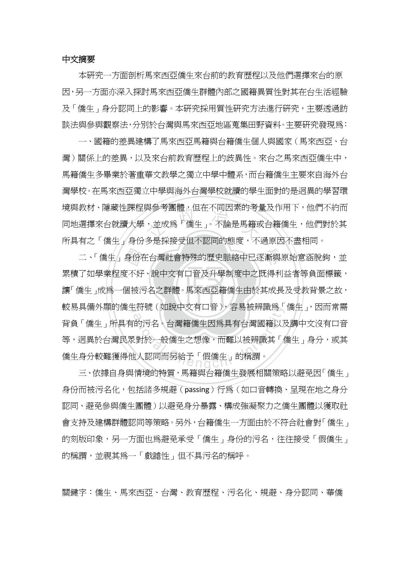## 中文摘要

 本研究一方面剖析馬來西亞僑生來台前的教育歷程以及他們選擇來台的原 因,另一方面亦深入探討馬來西亞僑生群體內部之國籍異質性對其在台生活經驗 及「僑生」身分認同上的影響。本研究採用質性研究方法進行研究,主要透過訪 談法與參與觀察法,分別於台灣與馬來西亞地區蒐集田野資料。主要研究發現為:

典参考團體,但仕个问囚系旳考<br>,並成爲「僑生」。不論是馬籍或<br>タ具坯培受但不認同的能度,不 一、國籍的差異建構了馬來西亞馬籍與台籍僑生個人與國家(馬來西亞、台 灣)關係上的差異,以及來台前教育歷程上的歧異性。來台之馬來西亞僑生中, 馬籍僑生多畢業於著重華文教學之獨立中學中體系,而台籍僑生主要來自海外台 灣學校。在馬來西亞獨立中學與海外台灣學校就讀的學生面對的是迥異的學習環 境與教材、隱藏性課程與參考團體,但在不同因素的考量及作用下,他們不約而 同地選擇來台就讀大學,並成爲「僑生」。不論是馬籍或台籍僑生,他們對於其 所具有之「僑生」身份多是採接受但不認同的態度,不過原因不盡相同。

<sub>。</sub><br>讓「僑生」成爲一個被污名之群體。馬來西亞籍僑生由於其成長及受教背景之故, 身份在台灣社會特殊的歷史脈絡中已逐漸與<br><br><br>個被污名之群體。馬來西亞籍僑生由於其成長<br> 較易具備外顯的僑生符號(如說中文有口音),容易被辨識爲「僑生」,因而常需 三付號(如說甲义有口音*)*,谷易攸辨識鳥<br><br>的污名。台灣籍僑生因爲具有台灣國籍以<br><br><br>以認同而另給予「假僑生」的稱謂。<br><br><br><br><br><br><br><br><br><br><br><br><br><br><br><br><br><br><br><br><br><br><br><br><br><br><br><br><br><br><br><br><br><br><br> 二、「僑生」身份在台灣社會特殊的歷史脈絡中已逐漸與原始意涵脫鉤,並 累積了如學業程度不好、說中文有口音及升學制度中之既得利益者等負面標籤, 背負「僑生」所具有的污名。台灣籍僑生因為具有台灣國籍以及講中文沒有口音 等,迥異於台灣民眾對於一般僑生之想像,而難以被辨識其「僑生」身分,或其 僑生身分較難獲得他人認同而另給予「假僑生」的稱謂。

三、依據自身與情境的特質,馬籍與台籍僑生發展相關策略以避免因「僑生」 身份而被污名化,包括諸多規避(passing)行為(如口音轉換、呈現在地之身分 認同、避免參與僑生團體)以避免身分暴露、構成強凝聚力之僑生團體以獲取社 會支持及建構群體認同等策略。另外,台籍僑生一方面由於不符合社會對「僑生」 的刻版印象,另一方面也爲避免承受「僑生」身份的污名,往往接受「假僑生」 的稱謂,並視其為一「戲謔性」但不具污名的稱呼。

關鍵字:僑生、馬來西亞、台灣、教育歷程、污名化、規避、身分認同、華僑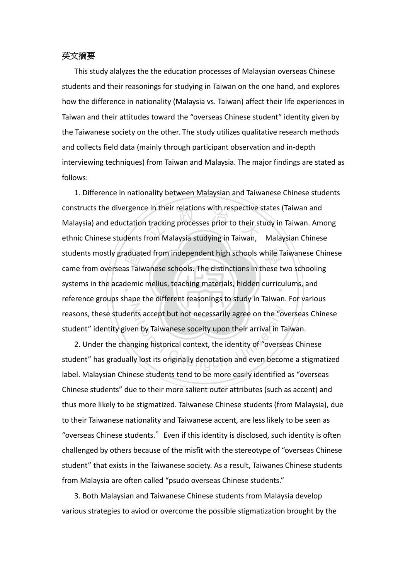## 英文摘要

This study alalyzes the the education processes of Malaysian overseas Chinese students and their reasonings for studying in Taiwan on the one hand, and explores how the difference in nationality (Malaysia vs. Taiwan) affect their life experiences in Taiwan and their attitudes toward the "overseas Chinese student" identity given by the Taiwanese society on the other. The study utilizes qualitative research methods and collects field data (mainly through participant observation and in‐depth interviewing techniques) from Taiwan and Malaysia. The major findings are stated as follows:

aduate<br>Alis Taiv<br>Jemic<br>hano e in their relations with respective :<br>i tracking processes prior to their st<br>from Malaysia studying in Taiwan, students mostly graduated from independent high schools while Taiwanese Chinese systems in the academic melius, teaching materials, hidden curriculums, and reasons, these students accept but not necessarily agree on the "overseas Chinese<br>student" identity given by Taiwanese soceity upon their arrival in Taiwan.<br>2. Under the changing historical context, the identity of "overse 1. Difference in nationality between Malaysian and Taiwanese Chinese students constructs the divergence in their relations with respective states (Taiwan and Malaysia) and eductation tracking processes prior to their study in Taiwan. Among ethnic Chinese students from Malaysia studying in Taiwan, Malaysian Chinese came from overseas Taiwanese schools. The distinctions in these two schooling reference groups shape the different reasonings to study in Taiwan. For various student" identity given by Taiwanese soceity upon their arrival in Taiwan.

2. Under the changing historical context, the identity of "overseas Chinese student" has gradually lost its originally denotation and even become a stigmatized label. Malaysian Chinese students tend to be more easily identified as "overseas Chinese students" due to their more salient outer attributes (such as accent) and thus more likely to be stigmatized. Taiwanese Chinese students (from Malaysia), due to their Taiwanese nationality and Taiwanese accent, are less likely to be seen as "overseas Chinese students." Even if this identity is disclosed, such identity is often challenged by others because of the misfit with the stereotype of "overseas Chinese student" that exists in the Taiwanese society. As a result, Taiwanes Chinese students from Malaysia are often called "psudo overseas Chinese students."

3. Both Malaysian and Taiwanese Chinese students from Malaysia develop various strategies to aviod or overcome the possible stigmatization brought by the